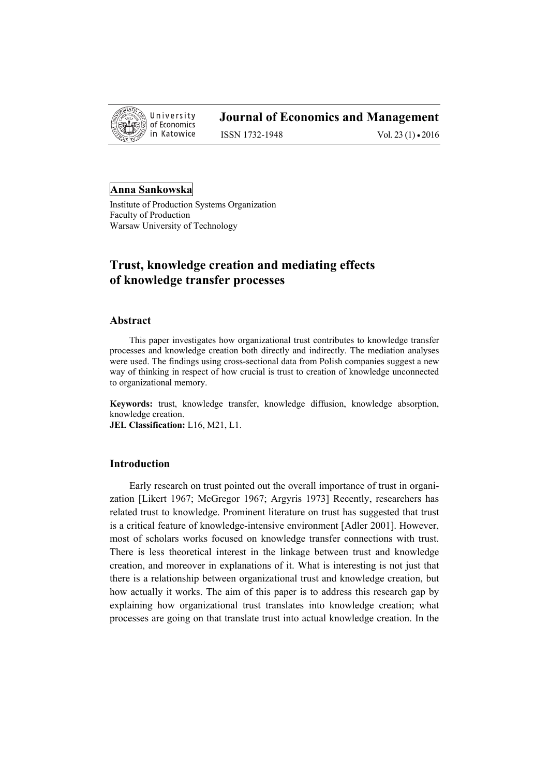

ISSN 1732-1948 Vol. 23 (1) • 2016

# **Anna Sankowska**

Institute of Production Systems Organization Faculty of Production Warsaw University of Technology

# **Trust, knowledge creation and mediating effects of knowledge transfer processes**

## **Abstract**

This paper investigates how organizational trust contributes to knowledge transfer processes and knowledge creation both directly and indirectly. The mediation analyses were used. The findings using cross-sectional data from Polish companies suggest a new way of thinking in respect of how crucial is trust to creation of knowledge unconnected to organizational memory.

**Keywords:** trust, knowledge transfer, knowledge diffusion, knowledge absorption, knowledge creation. **JEL Classification:** L16, M21, L1.

# **Introduction**

Early research on trust pointed out the overall importance of trust in organization [Likert 1967; McGregor 1967; Argyris 1973] Recently, researchers has related trust to knowledge. Prominent literature on trust has suggested that trust is a critical feature of knowledge-intensive environment [Adler 2001]. However, most of scholars works focused on knowledge transfer connections with trust. There is less theoretical interest in the linkage between trust and knowledge creation, and moreover in explanations of it. What is interesting is not just that there is a relationship between organizational trust and knowledge creation, but how actually it works. The aim of this paper is to address this research gap by explaining how organizational trust translates into knowledge creation; what processes are going on that translate trust into actual knowledge creation. In the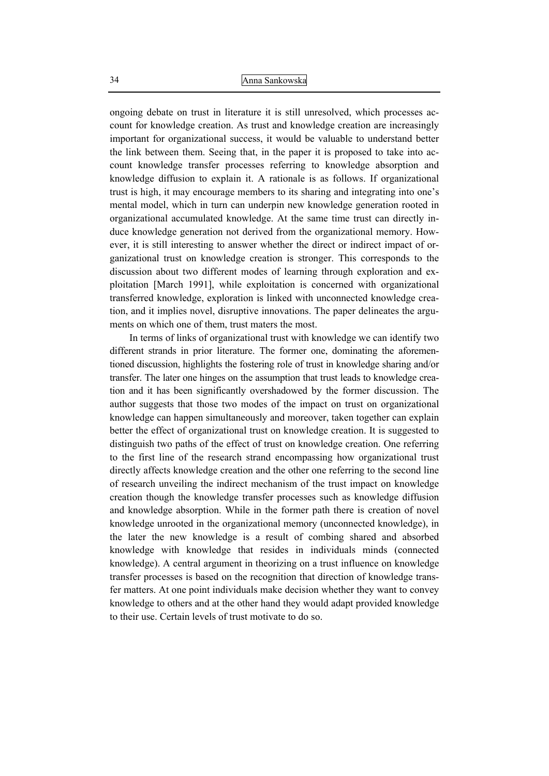ongoing debate on trust in literature it is still unresolved, which processes account for knowledge creation. As trust and knowledge creation are increasingly important for organizational success, it would be valuable to understand better the link between them. Seeing that, in the paper it is proposed to take into account knowledge transfer processes referring to knowledge absorption and knowledge diffusion to explain it. A rationale is as follows. If organizational trust is high, it may encourage members to its sharing and integrating into one's mental model, which in turn can underpin new knowledge generation rooted in organizational accumulated knowledge. At the same time trust can directly induce knowledge generation not derived from the organizational memory. However, it is still interesting to answer whether the direct or indirect impact of organizational trust on knowledge creation is stronger. This corresponds to the discussion about two different modes of learning through exploration and exploitation [March 1991], while exploitation is concerned with organizational transferred knowledge, exploration is linked with unconnected knowledge creation, and it implies novel, disruptive innovations. The paper delineates the arguments on which one of them, trust maters the most.

In terms of links of organizational trust with knowledge we can identify two different strands in prior literature. The former one, dominating the aforementioned discussion, highlights the fostering role of trust in knowledge sharing and/or transfer. The later one hinges on the assumption that trust leads to knowledge creation and it has been significantly overshadowed by the former discussion. The author suggests that those two modes of the impact on trust on organizational knowledge can happen simultaneously and moreover, taken together can explain better the effect of organizational trust on knowledge creation. It is suggested to distinguish two paths of the effect of trust on knowledge creation. One referring to the first line of the research strand encompassing how organizational trust directly affects knowledge creation and the other one referring to the second line of research unveiling the indirect mechanism of the trust impact on knowledge creation though the knowledge transfer processes such as knowledge diffusion and knowledge absorption. While in the former path there is creation of novel knowledge unrooted in the organizational memory (unconnected knowledge), in the later the new knowledge is a result of combing shared and absorbed knowledge with knowledge that resides in individuals minds (connected knowledge). A central argument in theorizing on a trust influence on knowledge transfer processes is based on the recognition that direction of knowledge transfer matters. At one point individuals make decision whether they want to convey knowledge to others and at the other hand they would adapt provided knowledge to their use. Certain levels of trust motivate to do so.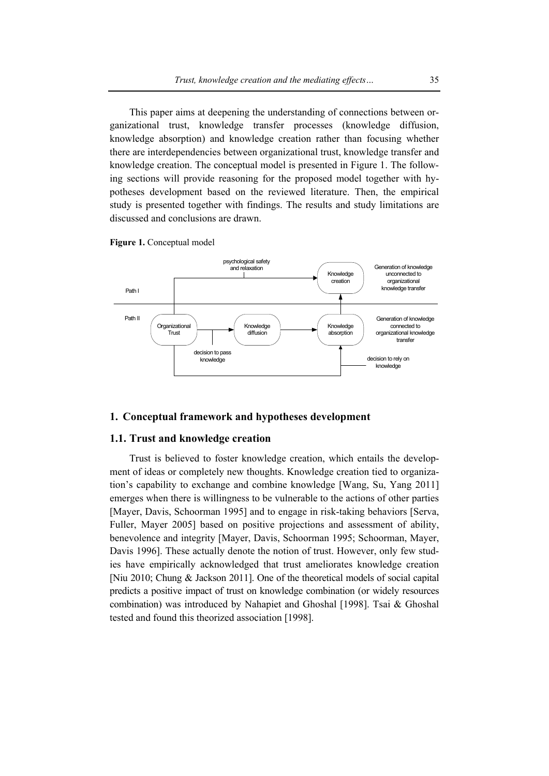This paper aims at deepening the understanding of connections between organizational trust, knowledge transfer processes (knowledge diffusion, knowledge absorption) and knowledge creation rather than focusing whether there are interdependencies between organizational trust, knowledge transfer and knowledge creation. The conceptual model is presented in Figure 1. The following sections will provide reasoning for the proposed model together with hypotheses development based on the reviewed literature. Then, the empirical study is presented together with findings. The results and study limitations are discussed and conclusions are drawn.





#### **1. Conceptual framework and hypotheses development**

# **1.1. Trust and knowledge creation**

Trust is believed to foster knowledge creation, which entails the development of ideas or completely new thoughts. Knowledge creation tied to organization's capability to exchange and combine knowledge [Wang, Su, Yang 2011] emerges when there is willingness to be vulnerable to the actions of other parties [Mayer, Davis, Schoorman 1995] and to engage in risk-taking behaviors [Serva, Fuller, Mayer 2005] based on positive projections and assessment of ability, benevolence and integrity [Mayer, Davis, Schoorman 1995; Schoorman, Mayer, Davis 1996]. These actually denote the notion of trust. However, only few studies have empirically acknowledged that trust ameliorates knowledge creation [Niu 2010; Chung & Jackson 2011]. One of the theoretical models of social capital predicts a positive impact of trust on knowledge combination (or widely resources combination) was introduced by Nahapiet and Ghoshal [1998]. Tsai & Ghoshal tested and found this theorized association [1998].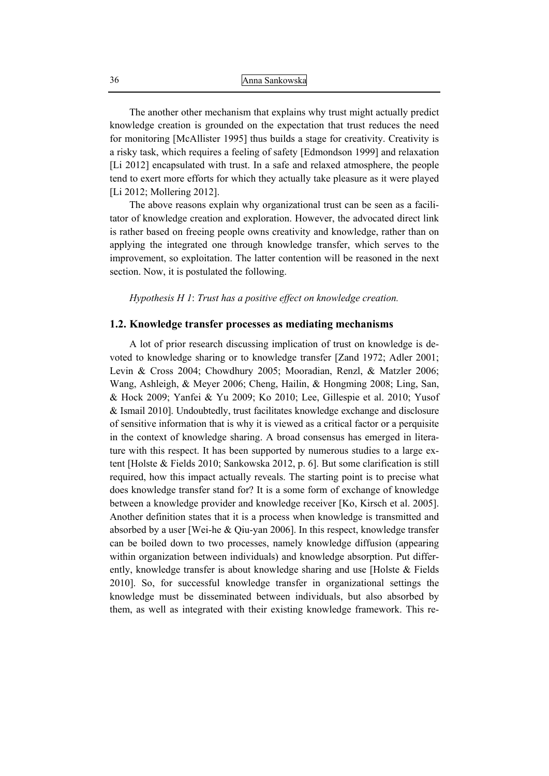The another other mechanism that explains why trust might actually predict knowledge creation is grounded on the expectation that trust reduces the need for monitoring [McAllister 1995] thus builds a stage for creativity. Creativity is a risky task, which requires a feeling of safety [Edmondson 1999] and relaxation [Li 2012] encapsulated with trust. In a safe and relaxed atmosphere, the people tend to exert more efforts for which they actually take pleasure as it were played [Li 2012; Mollering 2012].

The above reasons explain why organizational trust can be seen as a facilitator of knowledge creation and exploration. However, the advocated direct link is rather based on freeing people owns creativity and knowledge, rather than on applying the integrated one through knowledge transfer, which serves to the improvement, so exploitation. The latter contention will be reasoned in the next section. Now, it is postulated the following.

*Hypothesis H 1*: *Trust has a positive effect on knowledge creation.*

## **1.2. Knowledge transfer processes as mediating mechanisms**

A lot of prior research discussing implication of trust on knowledge is devoted to knowledge sharing or to knowledge transfer [Zand 1972; Adler 2001; Levin & Cross 2004; Chowdhury 2005; Mooradian, Renzl, & Matzler 2006; Wang, Ashleigh, & Meyer 2006; Cheng, Hailin, & Hongming 2008; Ling, San, & Hock 2009; Yanfei & Yu 2009; Ko 2010; Lee, Gillespie et al. 2010; Yusof & Ismail 2010]. Undoubtedly, trust facilitates knowledge exchange and disclosure of sensitive information that is why it is viewed as a critical factor or a perquisite in the context of knowledge sharing. A broad consensus has emerged in literature with this respect. It has been supported by numerous studies to a large extent [Holste & Fields 2010; Sankowska 2012, p. 6]. But some clarification is still required, how this impact actually reveals. The starting point is to precise what does knowledge transfer stand for? It is a some form of exchange of knowledge between a knowledge provider and knowledge receiver [Ko, Kirsch et al. 2005]. Another definition states that it is a process when knowledge is transmitted and absorbed by a user [Wei-he & Qiu-yan 2006]. In this respect, knowledge transfer can be boiled down to two processes, namely knowledge diffusion (appearing within organization between individuals) and knowledge absorption. Put differently, knowledge transfer is about knowledge sharing and use [Holste & Fields 2010]. So, for successful knowledge transfer in organizational settings the knowledge must be disseminated between individuals, but also absorbed by them, as well as integrated with their existing knowledge framework. This re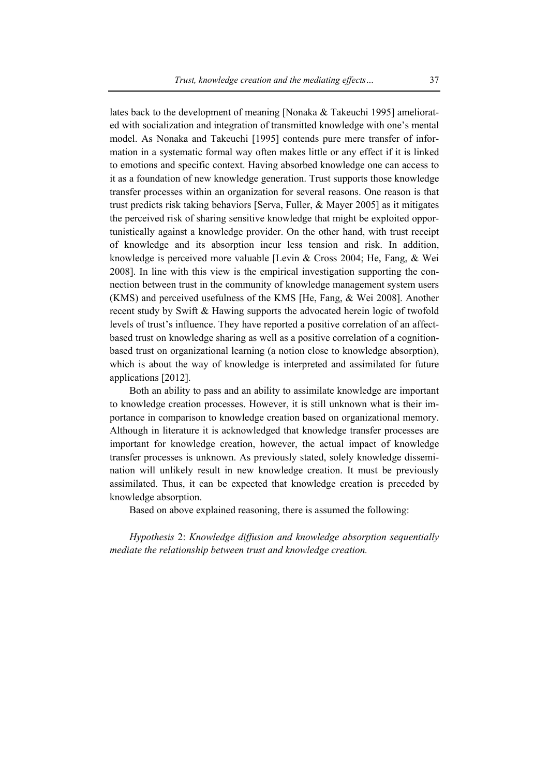lates back to the development of meaning [Nonaka & Takeuchi 1995] ameliorated with socialization and integration of transmitted knowledge with one's mental model. As Nonaka and Takeuchi [1995] contends pure mere transfer of information in a systematic formal way often makes little or any effect if it is linked to emotions and specific context. Having absorbed knowledge one can access to it as a foundation of new knowledge generation. Trust supports those knowledge transfer processes within an organization for several reasons. One reason is that trust predicts risk taking behaviors [Serva, Fuller, & Mayer 2005] as it mitigates the perceived risk of sharing sensitive knowledge that might be exploited opportunistically against a knowledge provider. On the other hand, with trust receipt of knowledge and its absorption incur less tension and risk. In addition, knowledge is perceived more valuable [Levin & Cross 2004; He, Fang, & Wei 2008]. In line with this view is the empirical investigation supporting the connection between trust in the community of knowledge management system users (KMS) and perceived usefulness of the KMS [He, Fang, & Wei 2008]. Another recent study by Swift & Hawing supports the advocated herein logic of twofold levels of trust's influence. They have reported a positive correlation of an affectbased trust on knowledge sharing as well as a positive correlation of a cognitionbased trust on organizational learning (a notion close to knowledge absorption), which is about the way of knowledge is interpreted and assimilated for future applications [2012].

Both an ability to pass and an ability to assimilate knowledge are important to knowledge creation processes. However, it is still unknown what is their importance in comparison to knowledge creation based on organizational memory. Although in literature it is acknowledged that knowledge transfer processes are important for knowledge creation, however, the actual impact of knowledge transfer processes is unknown. As previously stated, solely knowledge dissemination will unlikely result in new knowledge creation. It must be previously assimilated. Thus, it can be expected that knowledge creation is preceded by knowledge absorption.

Based on above explained reasoning, there is assumed the following:

*Hypothesis* 2: *Knowledge diffusion and knowledge absorption sequentially mediate the relationship between trust and knowledge creation.*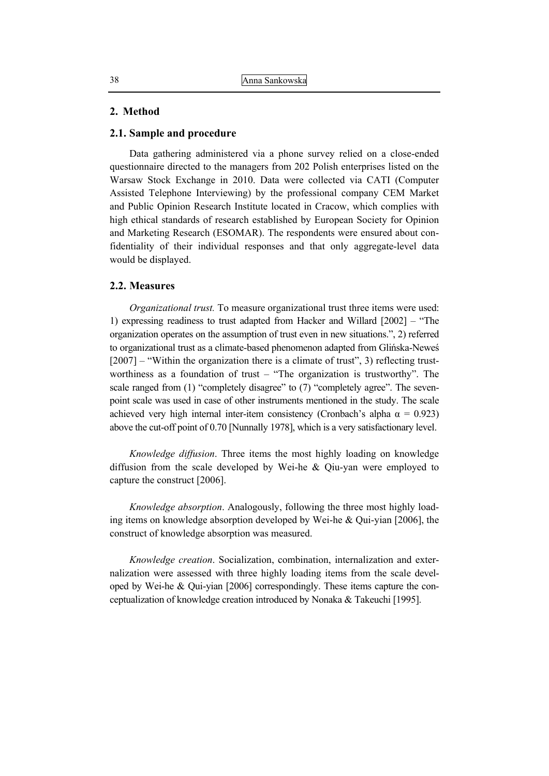## **2. Method**

## **2.1. Sample and procedure**

Data gathering administered via a phone survey relied on a close-ended questionnaire directed to the managers from 202 Polish enterprises listed on the Warsaw Stock Exchange in 2010. Data were collected via CATI (Computer Assisted Telephone Interviewing) by the professional company CEM Market and Public Opinion Research Institute located in Cracow, which complies with high ethical standards of research established by European Society for Opinion and Marketing Research (ESOMAR). The respondents were ensured about confidentiality of their individual responses and that only aggregate-level data would be displayed.

## **2.2. Measures**

*Organizational trust.* To measure organizational trust three items were used: 1) expressing readiness to trust adapted from Hacker and Willard [2002] – "The organization operates on the assumption of trust even in new situations.", 2) referred to organizational trust as a climate-based phenomenon adapted from Glińska-Neweś [2007] – "Within the organization there is a climate of trust", 3) reflecting trustworthiness as a foundation of trust – "The organization is trustworthy". The scale ranged from (1) "completely disagree" to (7) "completely agree". The sevenpoint scale was used in case of other instruments mentioned in the study. The scale achieved very high internal inter-item consistency (Cronbach's alpha  $\alpha = 0.923$ ) above the cut-off point of 0.70 [Nunnally 1978], which is a very satisfactionary level.

*Knowledge diffusion*. Three items the most highly loading on knowledge diffusion from the scale developed by Wei-he & Qiu-yan were employed to capture the construct [2006].

*Knowledge absorption*. Analogously, following the three most highly loading items on knowledge absorption developed by Wei-he & Qui-yian [2006], the construct of knowledge absorption was measured.

*Knowledge creation*. Socialization, combination, internalization and externalization were assessed with three highly loading items from the scale developed by Wei-he & Qui-yian [2006] correspondingly. These items capture the conceptualization of knowledge creation introduced by Nonaka & Takeuchi [1995].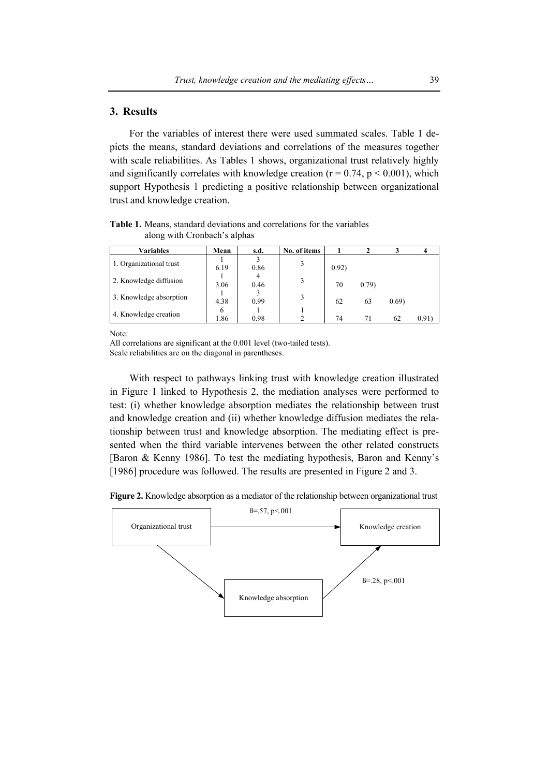# **3. Results**

For the variables of interest there were used summated scales. Table 1 depicts the means, standard deviations and correlations of the measures together with scale reliabilities. As Tables 1 shows, organizational trust relatively highly and significantly correlates with knowledge creation ( $r = 0.74$ ,  $p \le 0.001$ ), which support Hypothesis 1 predicting a positive relationship between organizational trust and knowledge creation.

**Table 1.** Means, standard deviations and correlations for the variables along with Cronbach's alphas

| <b>Variables</b>        | Mean | s.d.      | No. of items |       |        |       |      |
|-------------------------|------|-----------|--------------|-------|--------|-------|------|
| 1. Organizational trust | 6.19 | 0.86      | 3            | 0.92) |        |       |      |
| 2. Knowledge diffusion  | 3.06 | 4<br>0.46 | 3            | 70    | (0.79) |       |      |
| 3. Knowledge absorption | 4.38 | 0.99      | 3            | 62    | 63     | 0.69) |      |
| 4. Knowledge creation   | 6    |           |              |       |        |       |      |
|                         | l.86 | 0.98      |              | 74    | 71     | 62    | 0.91 |

Note:

With respect to pathways linking trust with knowledge creation illustrated in Figure 1 linked to Hypothesis 2, the mediation analyses were performed to test: (i) whether knowledge absorption mediates the relationship between trust and knowledge creation and (ii) whether knowledge diffusion mediates the relationship between trust and knowledge absorption. The mediating effect is presented when the third variable intervenes between the other related constructs [Baron & Kenny 1986]. To test the mediating hypothesis, Baron and Kenny's [1986] procedure was followed. The results are presented in Figure 2 and 3.

**Figure 2.** Knowledge absorption as a mediator of the relationship between organizational trust



All correlations are significant at the 0.001 level (two-tailed tests). Scale reliabilities are on the diagonal in parentheses.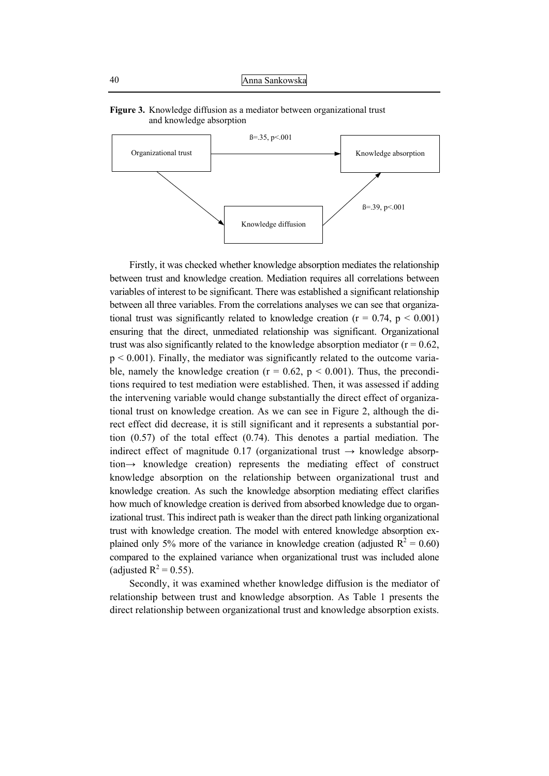



Firstly, it was checked whether knowledge absorption mediates the relationship between trust and knowledge creation. Mediation requires all correlations between variables of interest to be significant. There was established a significant relationship between all three variables. From the correlations analyses we can see that organizational trust was significantly related to knowledge creation ( $r = 0.74$ ,  $p < 0.001$ ) ensuring that the direct, unmediated relationship was significant. Organizational trust was also significantly related to the knowledge absorption mediator ( $r = 0.62$ ,  $p < 0.001$ ). Finally, the mediator was significantly related to the outcome variable, namely the knowledge creation ( $r = 0.62$ ,  $p < 0.001$ ). Thus, the preconditions required to test mediation were established. Then, it was assessed if adding the intervening variable would change substantially the direct effect of organizational trust on knowledge creation. As we can see in Figure 2, although the direct effect did decrease, it is still significant and it represents a substantial portion (0.57) of the total effect (0.74). This denotes a partial mediation. The indirect effect of magnitude 0.17 (organizational trust  $\rightarrow$  knowledge absorption→ knowledge creation) represents the mediating effect of construct knowledge absorption on the relationship between organizational trust and knowledge creation. As such the knowledge absorption mediating effect clarifies how much of knowledge creation is derived from absorbed knowledge due to organizational trust. This indirect path is weaker than the direct path linking organizational trust with knowledge creation. The model with entered knowledge absorption explained only 5% more of the variance in knowledge creation (adjusted  $R^2 = 0.60$ ) compared to the explained variance when organizational trust was included alone (adjusted  $R^2 = 0.55$ ).

Secondly, it was examined whether knowledge diffusion is the mediator of relationship between trust and knowledge absorption. As Table 1 presents the direct relationship between organizational trust and knowledge absorption exists.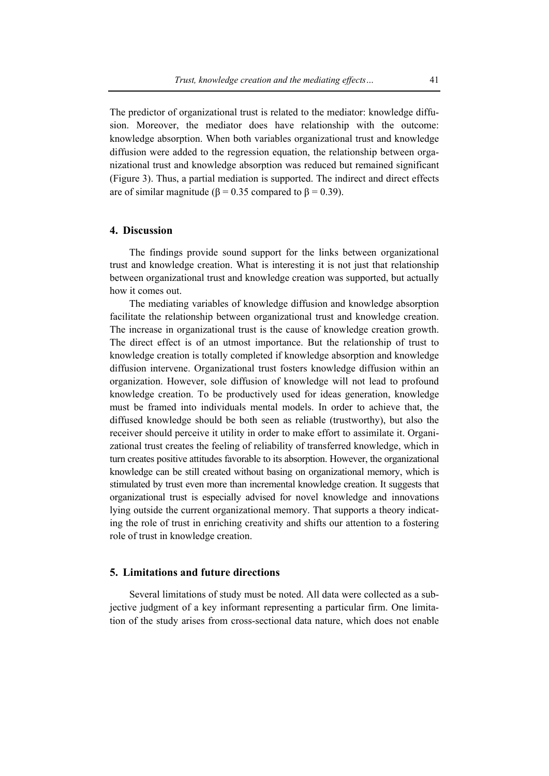The predictor of organizational trust is related to the mediator: knowledge diffusion. Moreover, the mediator does have relationship with the outcome: knowledge absorption. When both variables organizational trust and knowledge diffusion were added to the regression equation, the relationship between organizational trust and knowledge absorption was reduced but remained significant (Figure 3). Thus, a partial mediation is supported. The indirect and direct effects are of similar magnitude ( $\beta$  = 0.35 compared to  $\beta$  = 0.39).

# **4. Discussion**

The findings provide sound support for the links between organizational trust and knowledge creation. What is interesting it is not just that relationship between organizational trust and knowledge creation was supported, but actually how it comes out.

The mediating variables of knowledge diffusion and knowledge absorption facilitate the relationship between organizational trust and knowledge creation. The increase in organizational trust is the cause of knowledge creation growth. The direct effect is of an utmost importance. But the relationship of trust to knowledge creation is totally completed if knowledge absorption and knowledge diffusion intervene. Organizational trust fosters knowledge diffusion within an organization. However, sole diffusion of knowledge will not lead to profound knowledge creation. To be productively used for ideas generation, knowledge must be framed into individuals mental models. In order to achieve that, the diffused knowledge should be both seen as reliable (trustworthy), but also the receiver should perceive it utility in order to make effort to assimilate it. Organizational trust creates the feeling of reliability of transferred knowledge, which in turn creates positive attitudes favorable to its absorption. However, the organizational knowledge can be still created without basing on organizational memory, which is stimulated by trust even more than incremental knowledge creation. It suggests that organizational trust is especially advised for novel knowledge and innovations lying outside the current organizational memory. That supports a theory indicating the role of trust in enriching creativity and shifts our attention to a fostering role of trust in knowledge creation.

# **5. Limitations and future directions**

Several limitations of study must be noted. All data were collected as a subjective judgment of a key informant representing a particular firm. One limitation of the study arises from cross-sectional data nature, which does not enable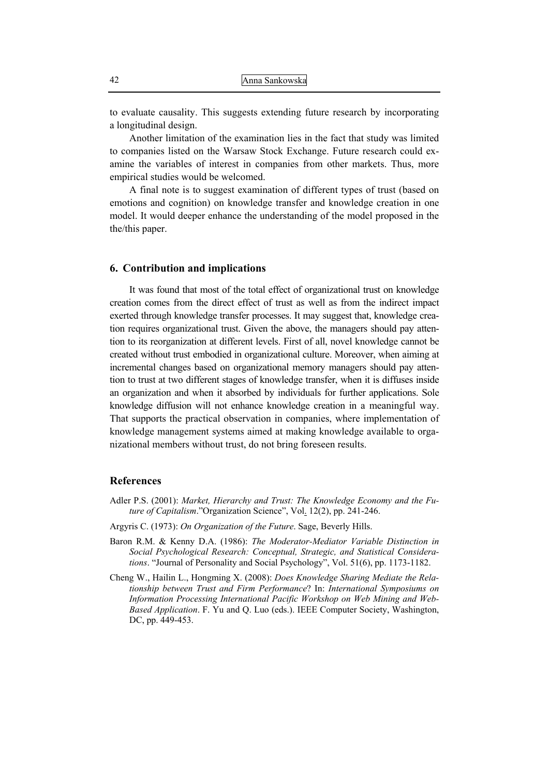to evaluate causality. This suggests extending future research by incorporating a longitudinal design.

Another limitation of the examination lies in the fact that study was limited to companies listed on the Warsaw Stock Exchange. Future research could examine the variables of interest in companies from other markets. Thus, more empirical studies would be welcomed.

A final note is to suggest examination of different types of trust (based on emotions and cognition) on knowledge transfer and knowledge creation in one model. It would deeper enhance the understanding of the model proposed in the the/this paper.

## **6. Contribution and implications**

It was found that most of the total effect of organizational trust on knowledge creation comes from the direct effect of trust as well as from the indirect impact exerted through knowledge transfer processes. It may suggest that, knowledge creation requires organizational trust. Given the above, the managers should pay attention to its reorganization at different levels. First of all, novel knowledge cannot be created without trust embodied in organizational culture. Moreover, when aiming at incremental changes based on organizational memory managers should pay attention to trust at two different stages of knowledge transfer, when it is diffuses inside an organization and when it absorbed by individuals for further applications. Sole knowledge diffusion will not enhance knowledge creation in a meaningful way. That supports the practical observation in companies, where implementation of knowledge management systems aimed at making knowledge available to organizational members without trust, do not bring foreseen results.

## **References**

- Adler P.S. (2001): *Market, Hierarchy and Trust: The Knowledge Economy and the Future of Capitalism*."Organization Science", Vol. 12(2), pp. 241-246.
- Argyris C. (1973): *On Organization of the Future*. Sage, Beverly Hills.
- Baron R.M. & Kenny D.A. (1986): *The Moderator-Mediator Variable Distinction in Social Psychological Research: Conceptual, Strategic, and Statistical Considerations*. "Journal of Personality and Social Psychology", Vol. 51(6), pp. 1173-1182.
- Cheng W., Hailin L., Hongming X. (2008): *Does Knowledge Sharing Mediate the Relationship between Trust and Firm Performance*? In: *International Symposiums on Information Processing International Pacific Workshop on Web Mining and Web-Based Application*. F. Yu and Q. Luo (eds.). IEEE Computer Society, Washington, DC, pp. 449-453.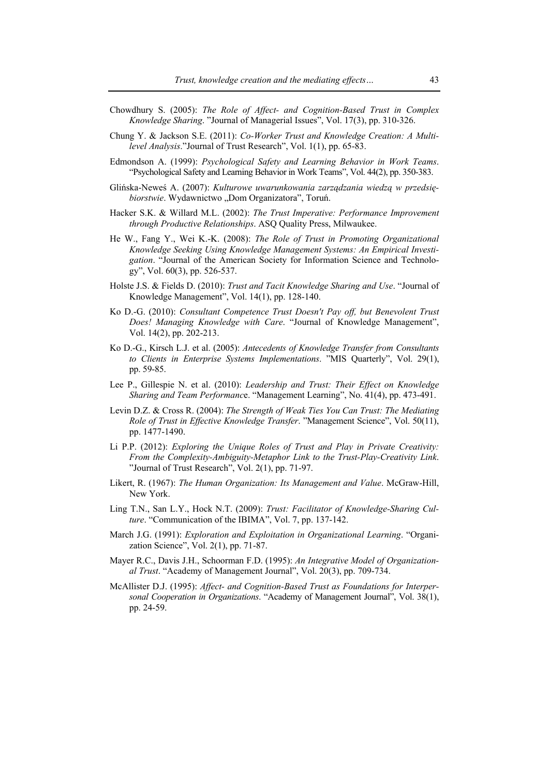- Chowdhury S. (2005): *The Role of Affect- and Cognition-Based Trust in Complex Knowledge Sharing*. "Journal of Managerial Issues", Vol. 17(3), pp. 310-326.
- Chung Y. & Jackson S.E. (2011): *Co-Worker Trust and Knowledge Creation: A Multilevel Analysis*."Journal of Trust Research", Vol. 1(1), pp. 65-83.
- Edmondson A. (1999): *Psychological Safety and Learning Behavior in Work Teams*. "Psychological Safety and Learning Behavior in Work Teams", Vol. 44(2), pp. 350-383.
- Glińska-Neweś A. (2007): *Kulturowe uwarunkowania zarządzania wiedzą w przedsiębiorstwie*. Wydawnictwo "Dom Organizatora", Toruń.
- Hacker S.K. & Willard M.L. (2002): *The Trust Imperative: Performance Improvement through Productive Relationships*. ASQ Quality Press, Milwaukee.
- He W., Fang Y., Wei K.-K. (2008): *The Role of Trust in Promoting Organizational Knowledge Seeking Using Knowledge Management Systems: An Empirical Investigation*. "Journal of the American Society for Information Science and Technology", Vol. 60(3), pp. 526-537.
- Holste J.S. & Fields D. (2010): *Trust and Tacit Knowledge Sharing and Use*. "Journal of Knowledge Management", Vol. 14(1), pp. 128-140.
- Ko D.-G. (2010): *Consultant Competence Trust Doesn't Pay off, but Benevolent Trust Does! Managing Knowledge with Care*. "Journal of Knowledge Management", Vol. 14(2), pp. 202-213.
- Ko D.-G., Kirsch L.J. et al. (2005): *Antecedents of Knowledge Transfer from Consultants to Clients in Enterprise Systems Implementations*. "MIS Quarterly", Vol. 29(1), pp. 59-85.
- Lee P., Gillespie N. et al. (2010): *Leadership and Trust: Their Effect on Knowledge Sharing and Team Performanc*e. "Management Learning", No. 41(4), pp. 473-491.
- Levin D.Z. & Cross R. (2004): *The Strength of Weak Ties You Can Trust: The Mediating Role of Trust in Effective Knowledge Transfer*. "Management Science", Vol. 50(11), pp. 1477-1490.
- Li P.P. (2012): *Exploring the Unique Roles of Trust and Play in Private Creativity: From the Complexity-Ambiguity-Metaphor Link to the Trust-Play-Creativity Link*. "Journal of Trust Research", Vol. 2(1), pp. 71-97.
- Likert, R. (1967): *The Human Organization: Its Management and Value*. McGraw-Hill, New York.
- Ling T.N., San L.Y., Hock N.T. (2009): *Trust: Facilitator of Knowledge-Sharing Culture*. "Communication of the IBIMA", Vol. 7, pp. 137-142.
- March J.G. (1991): *Exploration and Exploitation in Organizational Learning*. "Organization Science", Vol. 2(1), pp. 71-87.
- Mayer R.C., Davis J.H., Schoorman F.D. (1995): *An Integrative Model of Organizational Trust*. "Academy of Management Journal", Vol. 20(3), pp. 709-734.
- McAllister D.J. (1995): *Affect- and Cognition-Based Trust as Foundations for Interpersonal Cooperation in Organizations*. "Academy of Management Journal", Vol. 38(1), pp. 24-59.